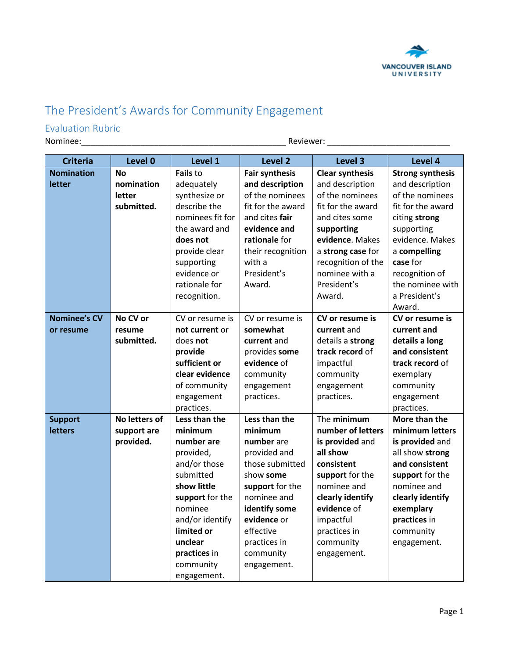

## The President's Awards for Community Engagement

## Evaluation Rubric

Nominee:\_\_\_\_\_\_\_\_\_\_\_\_\_\_\_\_\_\_\_\_\_\_\_\_\_\_\_\_\_\_\_\_\_\_\_\_\_\_\_\_\_\_\_\_\_ Reviewer: \_\_\_\_\_\_\_\_\_\_\_\_\_\_\_\_\_\_\_\_\_\_\_\_\_\_\_

| <b>Criteria</b>     | Level 0       | Level 1          | Level 2               | Level 3                | Level 4                 |
|---------------------|---------------|------------------|-----------------------|------------------------|-------------------------|
| <b>Nomination</b>   | <b>No</b>     | Fails to         | <b>Fair synthesis</b> | <b>Clear synthesis</b> | <b>Strong synthesis</b> |
| letter              | nomination    | adequately       | and description       | and description        | and description         |
|                     | letter        | synthesize or    | of the nominees       | of the nominees        | of the nominees         |
|                     | submitted.    | describe the     | fit for the award     | fit for the award      | fit for the award       |
|                     |               | nominees fit for | and cites <b>fair</b> | and cites some         | citing strong           |
|                     |               | the award and    | evidence and          | supporting             | supporting              |
|                     |               | does not         | rationale for         | evidence. Makes        | evidence. Makes         |
|                     |               | provide clear    | their recognition     | a strong case for      | a compelling            |
|                     |               | supporting       | with a                | recognition of the     | case for                |
|                     |               | evidence or      | President's           | nominee with a         | recognition of          |
|                     |               | rationale for    | Award.                | President's            | the nominee with        |
|                     |               | recognition.     |                       | Award.                 | a President's           |
|                     |               |                  |                       |                        | Award.                  |
| <b>Nominee's CV</b> | No CV or      | CV or resume is  | CV or resume is       | CV or resume is        | CV or resume is         |
| or resume           | resume        | not current or   | somewhat              | current and            | current and             |
|                     | submitted.    | does not         | current and           | details a strong       | details a long          |
|                     |               | provide          | provides some         | track record of        | and consistent          |
|                     |               | sufficient or    | evidence of           | impactful              | track record of         |
|                     |               | clear evidence   | community             | community              | exemplary               |
|                     |               | of community     | engagement            | engagement             | community               |
|                     |               | engagement       | practices.            | practices.             | engagement              |
|                     |               | practices.       |                       |                        | practices.              |
| <b>Support</b>      | No letters of | Less than the    | Less than the         | The minimum            | More than the           |
| <b>letters</b>      | support are   | minimum          | minimum               | number of letters      | minimum letters         |
|                     | provided.     | number are       | number are            | is provided and        | is provided and         |
|                     |               | provided,        | provided and          | all show               | all show strong         |
|                     |               | and/or those     | those submitted       | consistent             | and consistent          |
|                     |               | submitted        | show some             | support for the        | support for the         |
|                     |               | show little      | support for the       | nominee and            | nominee and             |
|                     |               | support for the  | nominee and           | clearly identify       | clearly identify        |
|                     |               | nominee          | identify some         | evidence of            | exemplary               |
|                     |               | and/or identify  | evidence or           | impactful              | practices in            |
|                     |               | limited or       | effective             | practices in           | community               |
|                     |               | unclear          | practices in          | community              | engagement.             |
|                     |               | practices in     | community             | engagement.            |                         |
|                     |               | community        | engagement.           |                        |                         |
|                     |               | engagement.      |                       |                        |                         |